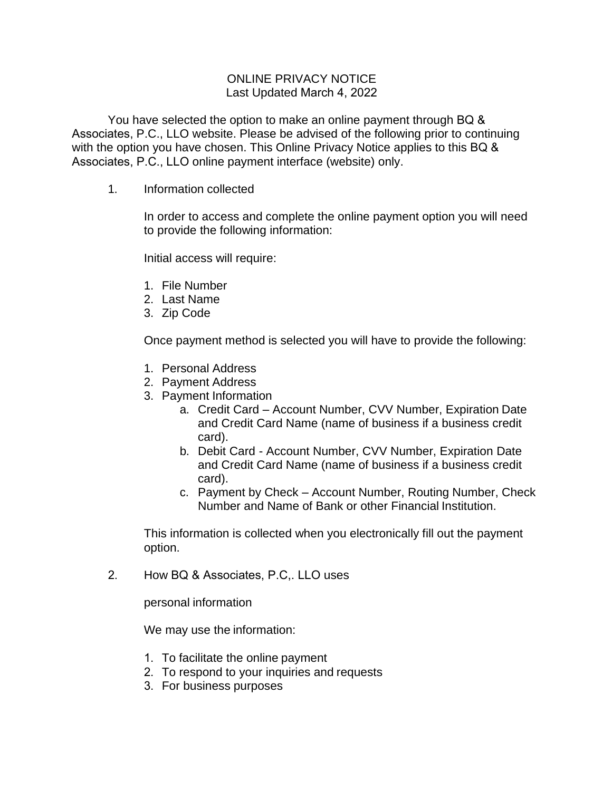## ONLINE PRIVACY NOTICE Last Updated March 4, 2022

You have selected the option to make an online payment through BQ & Associates, P.C., LLO website. Please be advised of the following prior to continuing with the option you have chosen. This Online Privacy Notice applies to this BQ & Associates, P.C., LLO online payment interface (website) only.

1. Information collected

In order to access and complete the online payment option you will need to provide the following information:

Initial access will require:

- 1. File Number
- 2. Last Name
- 3. Zip Code

Once payment method is selected you will have to provide the following:

- 1. Personal Address
- 2. Payment Address
- 3. Payment Information
	- a. Credit Card Account Number, CVV Number, Expiration Date and Credit Card Name (name of business if a business credit card).
	- b. Debit Card Account Number, CVV Number, Expiration Date and Credit Card Name (name of business if a business credit card).
	- c. Payment by Check Account Number, Routing Number, Check Number and Name of Bank or other Financial Institution.

This information is collected when you electronically fill out the payment option.

2. How BQ & Associates, P.C,. LLO uses

personal information

We may use the information:

- 1. To facilitate the online payment
- 2. To respond to your inquiries and requests
- 3. For business purposes